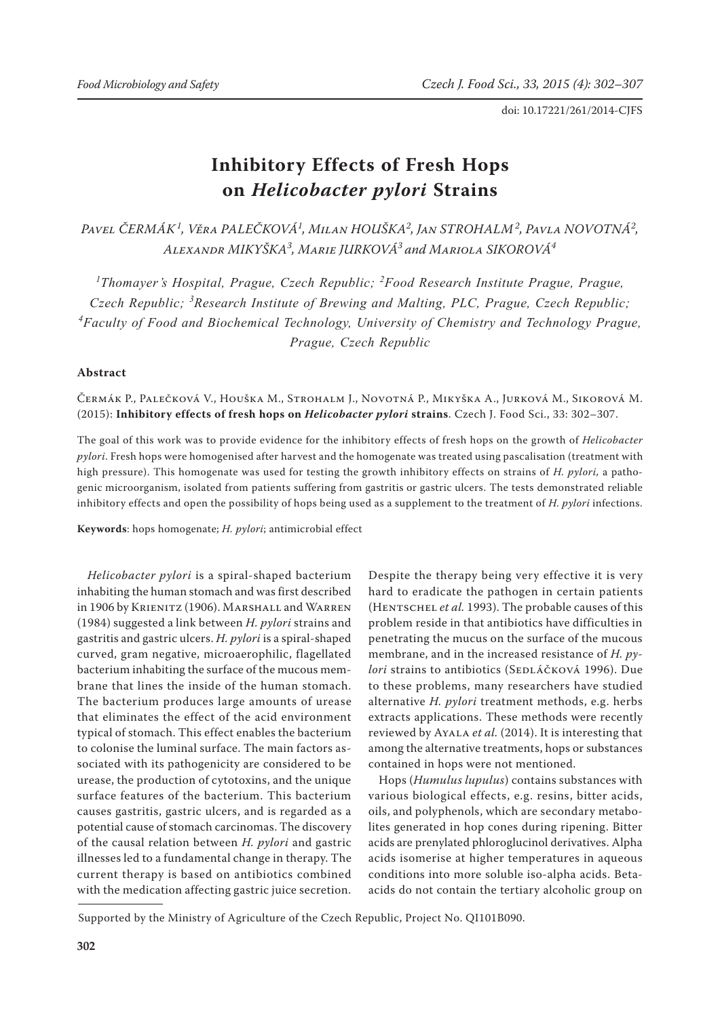# **Inhibitory Effects of Fresh Hops on** *Helicobacter pylori* **Strains**

*Pavel ČERMÁK<sup>1</sup> , Věra PALEČKOVÁ<sup>1</sup> , Milan HOUŠKA<sup>2</sup> , Jan STROHALM<sup>2</sup> , Pavla NOVOTNÁ<sup>2</sup> , Alexandr MIKYŠKA<sup>3</sup> , Marie JURKOVÁ<sup>3</sup> and Mariola SIKOROVÁ<sup>4</sup>*

<sup>1</sup>Thomayer's Hospital, Prague, Czech Republic; <sup>2</sup>Food Research Institute Prague, Prague, *Czech Republic; <sup>3</sup> Research Institute of Brewing and Malting, PLC, Prague, Czech Republic; 4 Faculty of Food and Biochemical Technology, University of Chemistry and Technology Prague, Prague, Czech Republic*

## **Abstract**

Čermák P., Palečková V., Houška M., Strohalm J., Novotná P., Mikyška A., Jurková M., Sikorová M. (2015): **Inhibitory effects of fresh hops on** *Helicobacter pylori* **strains**. Czech J. Food Sci., 33: 302–307.

The goal of this work was to provide evidence for the inhibitory effects of fresh hops on the growth of *Helicobacter pylori*. Fresh hops were homogenised after harvest and the homogenate was treated using pascalisation (treatment with high pressure). This homogenate was used for testing the growth inhibitory effects on strains of *H. pylori,* a pathogenic microorganism, isolated from patients suffering from gastritis or gastric ulcers. The tests demonstrated reliable inhibitory effects and open the possibility of hops being used as a supplement to the treatment of *H. pylori* infections.

**Keywords**: hops homogenate; *H. pylori*; antimicrobial effect

*Helicobacter pylori* is a spiral-shaped bacterium inhabiting the human stomach and was first described in 1906 by Krienitz (1906). Marshall and Warren (1984) suggested a link between *H. pylori* strains and gastritis and gastric ulcers. *H. pylori* is a spiral-shaped curved, gram negative, microaerophilic, flagellated bacterium inhabiting the surface of the mucous membrane that lines the inside of the human stomach. The bacterium produces large amounts of urease that eliminates the effect of the acid environment typical of stomach. This effect enables the bacterium to colonise the luminal surface. The main factors associated with its pathogenicity are considered to be urease, the production of cytotoxins, and the unique surface features of the bacterium. This bacterium causes gastritis, gastric ulcers, and is regarded as a potential cause of stomach carcinomas. The discovery of the causal relation between *H. pylori* and gastric illnesses led to a fundamental change in therapy. The current therapy is based on antibiotics combined with the medication affecting gastric juice secretion.

Despite the therapy being very effective it is very hard to eradicate the pathogen in certain patients (HENTSCHEL et al. 1993). The probable causes of this problem reside in that antibiotics have difficulties in penetrating the mucus on the surface of the mucous membrane, and in the increased resistance of *H. py*lori strains to antibiotics (SEDLÁČKOVÁ 1996). Due to these problems, many researchers have studied alternative *H. pylori* treatment methods, e.g. herbs extracts applications. These methods were recently reviewed by Ayala *et al.* (2014). It is interesting that among the alternative treatments, hops or substances contained in hops were not mentioned.

Hops (*Humulus lupulus*) contains substances with various biological effects, e.g. resins, bitter acids, oils, and polyphenols, which are secondary metabolites generated in hop cones during ripening. Bitter acids are prenylated phloroglucinol derivatives. Alpha acids isomerise at higher temperatures in aqueous conditions into more soluble iso-alpha acids. Betaacids do not contain the tertiary alcoholic group on

Supported by the Ministry of Agriculture of the Czech Republic, Project No. QI101B090.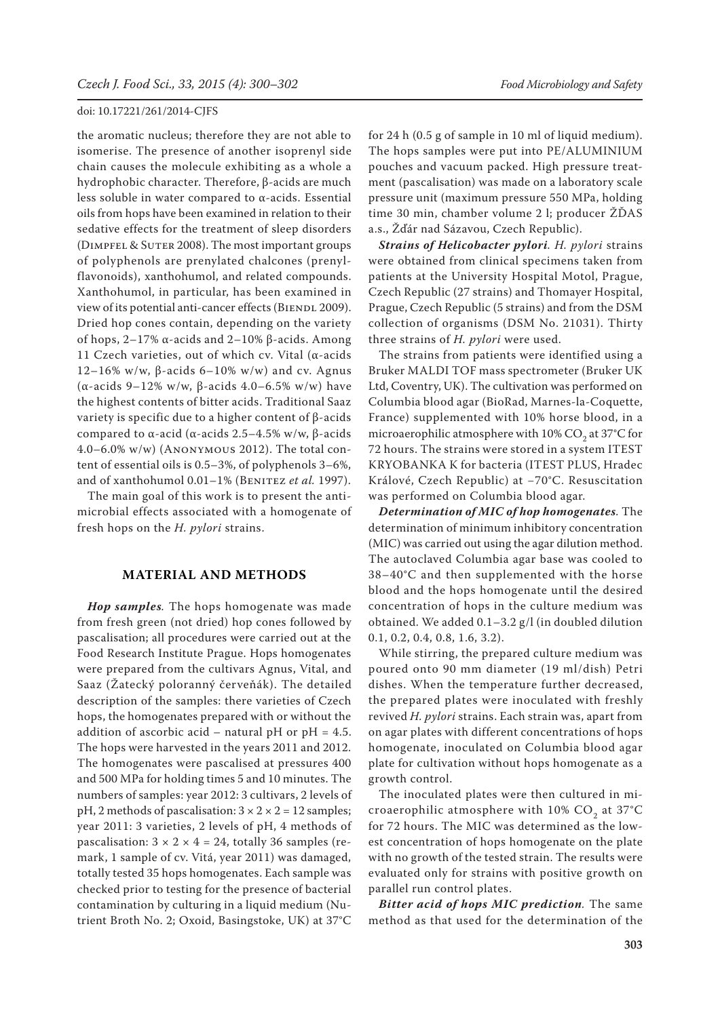the aromatic nucleus; therefore they are not able to isomerise. The presence of another isoprenyl side chain causes the molecule exhibiting as a whole a hydrophobic character. Therefore, β-acids are much less soluble in water compared to α-acids. Essential oils from hops have been examined in relation to their sedative effects for the treatment of sleep disorders (Dimpfel & Suter 2008). The most important groups of polyphenols are prenylated chalcones (prenylflavonoids), xanthohumol, and related compounds. Xanthohumol, in particular, has been examined in view of its potential anti-cancer effects (BIENDL 2009). Dried hop cones contain, depending on the variety of hops, 2–17% α-acids and 2–10% β-acids. Among 11 Czech varieties, out of which cv. Vital (α-acids 12–16% w/w, β-acids 6–10% w/w) and cv. Agnus (α-acids 9–12% w/w, β-acids 4.0–6.5% w/w) have the highest contents of bitter acids. Traditional Saaz variety is specific due to a higher content of β-acids compared to α-acid (α-acids 2.5–4.5% w/w, β-acids 4.0–6.0% w/w) (Anonymous 2012). The total content of essential oils is 0.5–3%, of polyphenols 3–6%, and of xanthohumol 0.01-1% (BENITEZ et al. 1997).

The main goal of this work is to present the antimicrobial effects associated with a homogenate of fresh hops on the *H. pylori* strains.

# **MATERIAL AND METHODS**

*Hop samples.* The hops homogenate was made from fresh green (not dried) hop cones followed by pascalisation; all procedures were carried out at the Food Research Institute Prague. Hops homogenates were prepared from the cultivars Agnus, Vital, and Saaz (Žatecký poloranný červeňák). The detailed description of the samples: there varieties of Czech hops, the homogenates prepared with or without the addition of ascorbic acid – natural pH or  $pH = 4.5$ . The hops were harvested in the years 2011 and 2012. The homogenates were pascalised at pressures 400 and 500 MPa for holding times 5 and 10 minutes. The numbers of samples: year 2012: 3 cultivars, 2 levels of pH, 2 methods of pascalisation:  $3 \times 2 \times 2 = 12$  samples; year 2011: 3 varieties, 2 levels of pH, 4 methods of pascalisation:  $3 \times 2 \times 4 = 24$ , totally 36 samples (remark, 1 sample of cv. Vitá, year 2011) was damaged, totally tested 35 hops homogenates. Each sample was checked prior to testing for the presence of bacterial contamination by culturing in a liquid medium (Nutrient Broth No. 2; Oxoid, Basingstoke, UK) at 37°C

for 24 h (0.5 g of sample in 10 ml of liquid medium). The hops samples were put into PE/ALUMINIUM pouches and vacuum packed. High pressure treatment (pascalisation) was made on a laboratory scale pressure unit (maximum pressure 550 MPa, holding time 30 min, chamber volume 2 l; producer ŽĎAS a.s., Žďár nad Sázavou, Czech Republic).

*Strains of Helicobacter pylori. H. pylori* strains were obtained from clinical specimens taken from patients at the University Hospital Motol, Prague, Czech Republic (27 strains) and Thomayer Hospital, Prague, Czech Republic (5 strains) and from the DSM collection of organisms (DSM No. 21031). Thirty three strains of *H. pylori* were used.

The strains from patients were identified using a Bruker MALDI TOF mass spectrometer (Bruker UK Ltd, Coventry, UK). The cultivation was performed on Columbia blood agar (BioRad, Marnes-la-Coquette, France) supplemented with 10% horse blood, in a microaerophilic atmosphere with 10%  $CO<sub>2</sub>$  at 37°C for 72 hours. The strains were stored in a system ITEST KRYOBANKA K for bacteria (ITEST PLUS, Hradec Králové, Czech Republic) at −70°C. Resuscitation was performed on Columbia blood agar.

*Determination of MIC of hop homogenates.* The determination of minimum inhibitory concentration (MIC) was carried out using the agar dilution method. The autoclaved Columbia agar base was cooled to 38–40°C and then supplemented with the horse blood and the hops homogenate until the desired concentration of hops in the culture medium was obtained. We added 0.1–3.2 g/l (in doubled dilution 0.1, 0.2, 0.4, 0.8, 1.6, 3.2).

While stirring, the prepared culture medium was poured onto 90 mm diameter (19 ml/dish) Petri dishes. When the temperature further decreased, the prepared plates were inoculated with freshly revived *H. pylori* strains. Each strain was, apart from on agar plates with different concentrations of hops homogenate, inoculated on Columbia blood agar plate for cultivation without hops homogenate as a growth control.

The inoculated plates were then cultured in microaerophilic atmosphere with 10%  $CO<sub>2</sub>$  at 37°C for 72 hours. The MIC was determined as the lowest concentration of hops homogenate on the plate with no growth of the tested strain. The results were evaluated only for strains with positive growth on parallel run control plates.

*Bitter acid of hops MIC prediction.* The same method as that used for the determination of the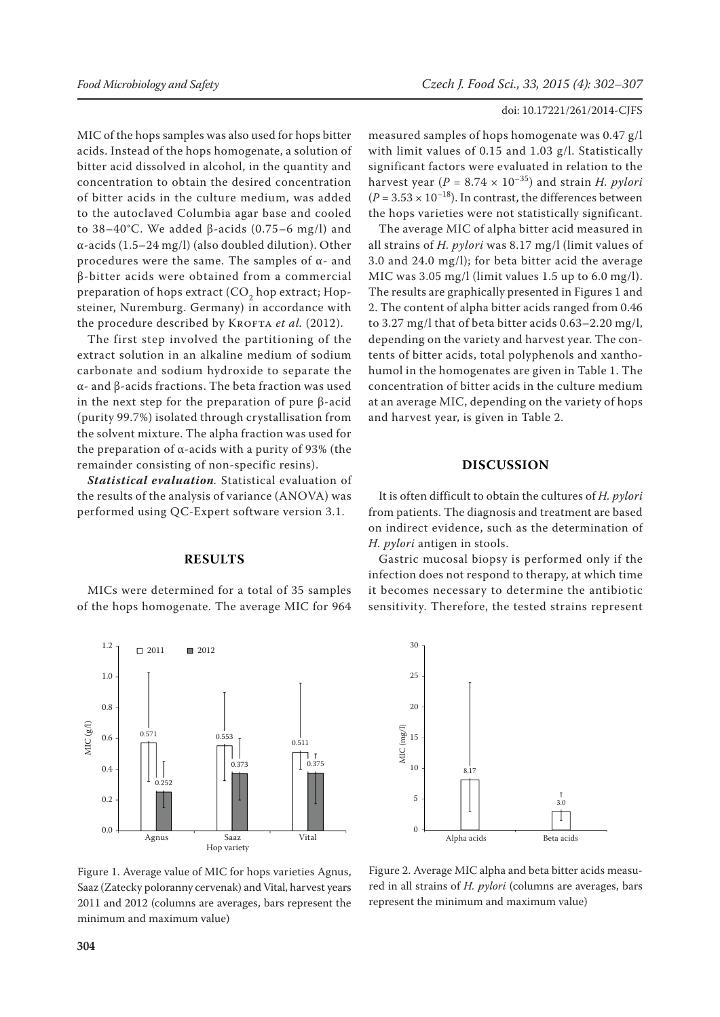MIC of the hops samples was also used for hops bitter acids. Instead of the hops homogenate, a solution of bitter acid dissolved in alcohol, in the quantity and concentration to obtain the desired concentration of bitter acids in the culture medium, was added to the autoclaved Columbia agar base and cooled to 38-40°C. We added  $\beta$ -acids (0.75-6 mg/l) and α-acids (1.5–24 mg/l) (also doubled dilution). Other procedures were the same. The samples of  $\alpha$ - and β-bitter acids were obtained from a commercial preparation of hops extract (CO<sub>2</sub> hop extract; Hopsteiner, Nuremburg. Germany) in accordance with the procedure described by KROFTA et al. (2012).

The first step involved the partitioning of the extract solution in an alkaline medium of sodium carbonate and sodium hydroxide to separate the α- and β-acids fractions. The beta fraction was used in the next step for the preparation of pure β-acid (purity 99.7%) isolated through crystallisation from the solvent mixture. The alpha fraction was used for the preparation of α-acids with a purity of 93% (the remainder consisting of non-specific resins).

*Statistical evaluation.* Statistical evaluation of the results of the analysis of variance (ANOVA) was performed using QC-Expert software version 3.1.

#### **RESULTS**

MICs were determined for a total of 35 samples of the hops homogenate. The average MIC for 964



# doi: 10.17221/261/2014-CJFS

measured samples of hops homogenate was 0.47 g/l with limit values of 0.15 and 1.03 g/l. Statistically significant factors were evaluated in relation to the harvest year ( $P = 8.74 \times 10^{-35}$ ) and strain *H. pylori*  $(P = 3.53 \times 10^{-18})$ . In contrast, the differences between the hops varieties were not statistically significant.

The average MIC of alpha bitter acid measured in all strains of *H. pylori* was 8.17 mg/l (limit values of 3.0 and 24.0 mg/l); for beta bitter acid the average MIC was 3.05 mg/l (limit values 1.5 up to 6.0 mg/l). The results are graphically presented in Figures 1 and 2. The content of alpha bitter acids ranged from 0.46 to 3.27 mg/l that of beta bitter acids 0.63–2.20 mg/l, depending on the variety and harvest year. The contents of bitter acids, total polyphenols and xanthohumol in the homogenates are given in Table 1. The concentration of bitter acids in the culture medium at an average MIC, depending on the variety of hops and harvest year, is given in Table 2.

## **DISCUSSION**

It is often difficult to obtain the cultures of *H. pylori* from patients. The diagnosis and treatment are based on indirect evidence, such as the determination of *H. pylori* antigen in stools.

Gastric mucosal biopsy is performed only if the infection does not respond to therapy, at which time it becomes necessary to determine the antibiotic sensitivity. Therefore, the tested strains represent



Figure 1. Average value of MIC for hops varieties Agnus, Saaz (Zatecky poloranny cervenak) and Vital, harvest years 2011 and 2012 (columns are averages, bars represent the minimum and maximum value)

Figure 2. Average MIC alpha and beta bitter acids measured in all strains of *H. pylori* (columns are averages, bars represent the minimum and maximum value)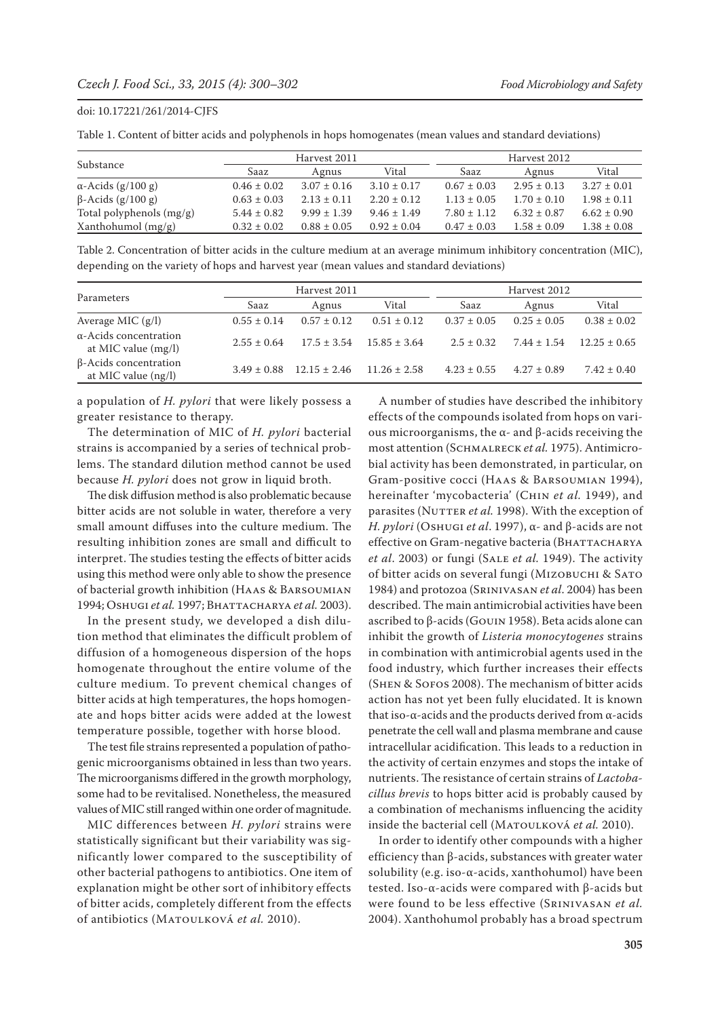| Substance                  | Harvest 2011    |                 |                 | Harvest 2012    |                 |                 |
|----------------------------|-----------------|-----------------|-----------------|-----------------|-----------------|-----------------|
|                            | Saaz            | Agnus           | Vital           | Saaz            | Agnus           | Vital           |
| $\alpha$ -Acids (g/100 g)  | $0.46 \pm 0.02$ | $3.07 \pm 0.16$ | $3.10 \pm 0.17$ | $0.67 \pm 0.03$ | $2.95 \pm 0.13$ | $3.27 \pm 0.01$ |
| $\beta$ -Acids (g/100 g)   | $0.63 \pm 0.03$ | $2.13 \pm 0.11$ | $2.20 \pm 0.12$ | $1.13 \pm 0.05$ | $1.70 \pm 0.10$ | $1.98 \pm 0.11$ |
| Total polyphenols $(mg/g)$ | $5.44 \pm 0.82$ | $9.99 \pm 1.39$ | $9.46 \pm 1.49$ | $7.80 \pm 1.12$ | $6.32 \pm 0.87$ | $6.62 \pm 0.90$ |
| Xanthohumol $(mg/g)$       | $0.32 \pm 0.02$ | $0.88 \pm 0.05$ | $0.92 \pm 0.04$ | $0.47 \pm 0.03$ | $1.58 \pm 0.09$ | $1.38 \pm 0.08$ |

Table 1. Content of bitter acids and polyphenols in hops homogenates (mean values and standard deviations)

Table 2. Concentration of bitter acids in the culture medium at an average minimum inhibitory concentration (MIC), depending on the variety of hops and harvest year (mean values and standard deviations)

| Parameters                                   |                 | Harvest 2011     |                  |                 | Harvest 2012    |                  |  |
|----------------------------------------------|-----------------|------------------|------------------|-----------------|-----------------|------------------|--|
|                                              | Saaz            | Agnus            | Vital            | Saaz            | Agnus           | Vital            |  |
| Average MIC (g/l)                            | $0.55 \pm 0.14$ | $0.57 \pm 0.12$  | $0.51 \pm 0.12$  | $0.37 \pm 0.05$ | $0.25 \pm 0.05$ | $0.38 \pm 0.02$  |  |
| α-Acids concentration<br>at MIC value (mg/l) | $2.55 \pm 0.64$ | $17.5 \pm 3.54$  | $15.85 \pm 3.64$ | $2.5 \pm 0.32$  | $7.44 + 1.54$   | $12.25 \pm 0.65$ |  |
| β-Acids concentration<br>at MIC value (ng/l) | $3.49 \pm 0.88$ | $12.15 \pm 2.46$ | $11.26 + 2.58$   | $4.23 \pm 0.55$ | $4.27 \pm 0.89$ | $7.42 \pm 0.40$  |  |

a population of *H. pylori* that were likely possess a greater resistance to therapy.

The determination of MIC of *H. pylori* bacterial strains is accompanied by a series of technical problems. The standard dilution method cannot be used because *H. pylori* does not grow in liquid broth.

The disk diffusion method is also problematic because bitter acids are not soluble in water, therefore a very small amount diffuses into the culture medium. The resulting inhibition zones are small and difficult to interpret. The studies testing the effects of bitter acids using this method were only able to show the presence of bacterial growth inhibition (Haas & Barsoumian 1994; Oshugi *et al.* 1997; Bhattacharya *et al.* 2003).

In the present study, we developed a dish dilution method that eliminates the difficult problem of diffusion of a homogeneous dispersion of the hops homogenate throughout the entire volume of the culture medium. To prevent chemical changes of bitter acids at high temperatures, the hops homogenate and hops bitter acids were added at the lowest temperature possible, together with horse blood.

The test file strains represented a population of pathogenic microorganisms obtained in less than two years. The microorganisms differed in the growth morphology, some had to be revitalised. Nonetheless, the measured values of MIC still ranged within one order of magnitude.

MIC differences between *H. pylori* strains were statistically significant but their variability was significantly lower compared to the susceptibility of other bacterial pathogens to antibiotics. One item of explanation might be other sort of inhibitory effects of bitter acids, completely different from the effects of antibiotics (Matoulková *et al.* 2010).

A number of studies have described the inhibitory effects of the compounds isolated from hops on various microorganisms, the α- and β-acids receiving the most attention (Schmalreck *et al.* 1975). Antimicrobial activity has been demonstrated, in particular, on Gram-positive cocci (Haas & Barsoumian 1994), hereinafter 'mycobacteria' (CHIN et al. 1949), and parasites (NUTTER *et al.* 1998). With the exception of *H. pylori* (Oshugi *et al*. 1997), α- and β-acids are not effective on Gram-negative bacteria (BHATTACHARYA *et al*. 2003) or fungi (Sale *et al.* 1949). The activity of bitter acids on several fungi (Mizobuchi & Sato 1984) and protozoa (Srinivasan *et al*. 2004) has been described. The main antimicrobial activities have been ascribed to β-acids (Gouin 1958). Beta acids alone can inhibit the growth of *Listeria monocytogenes* strains in combination with antimicrobial agents used in the food industry, which further increases their effects (Shen & Sofos 2008). The mechanism of bitter acids action has not yet been fully elucidated. It is known that iso-α-acids and the products derived from α-acids penetrate the cell wall and plasma membrane and cause intracellular acidification. This leads to a reduction in the activity of certain enzymes and stops the intake of nutrients. The resistance of certain strains of *Lactobacillus brevis* to hops bitter acid is probably caused by a combination of mechanisms influencing the acidity inside the bacterial cell (MATOULKOVÁ et al. 2010).

In order to identify other compounds with a higher efficiency than β-acids, substances with greater water solubility (e.g. iso-α-acids, xanthohumol) have been tested. Iso-α-acids were compared with β-acids but were found to be less effective (Srinivasan *et al.* 2004). Xanthohumol probably has a broad spectrum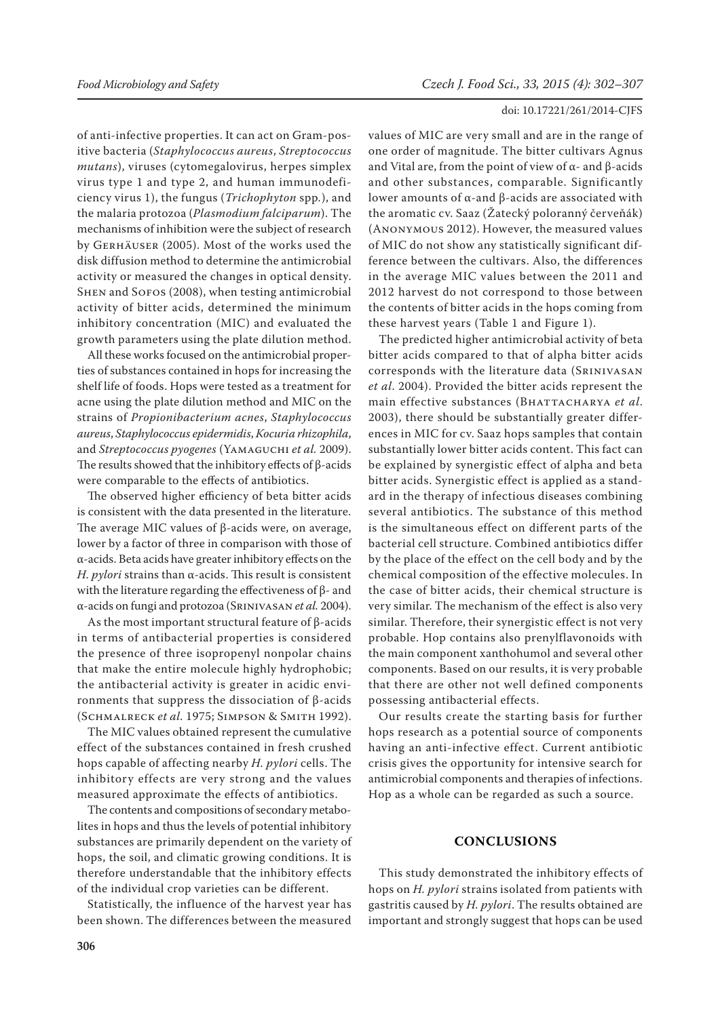# of anti-infective properties. It can act on Gram-positive bacteria (*Staphylococcus aureus*, *Streptococcus mutans*), viruses (cytomegalovirus, herpes simplex virus type 1 and type 2, and human immunodeficiency virus 1), the fungus (*Trichophyton* spp*.*), and the malaria protozoa (*Plasmodium falciparum*). The mechanisms of inhibition were the subject of research by GerhÄuser (2005). Most of the works used the disk diffusion method to determine the antimicrobial activity or measured the changes in optical density. SHEN and SOFOS (2008), when testing antimicrobial activity of bitter acids, determined the minimum inhibitory concentration (MIC) and evaluated the growth parameters using the plate dilution method.

All these works focused on the antimicrobial properties of substances contained in hops for increasing the shelf life of foods. Hops were tested as a treatment for acne using the plate dilution method and MIC on the strains of *Propionibacterium acnes*, *Staphylococcus aureus*, *Staphylococcus epidermidis*, *Kocuria rhizophila*, and *Streptococcus pyogenes* (Yamaguchi *et al.* 2009). The results showed that the inhibitory effects of β-acids were comparable to the effects of antibiotics.

The observed higher efficiency of beta bitter acids is consistent with the data presented in the literature. The average MIC values of β-acids were, on average, lower by a factor of three in comparison with those of α-acids. Beta acids have greaterinhibitory effects on the *H. pylori* strains than α-acids. This result is consistent with the literature regarding the effectiveness of β- and α-acids on fungi and protozoa (Srinivasan *et al.* 2004).

As the most important structural feature of β-acids in terms of antibacterial properties is considered the presence of three isopropenyl nonpolar chains that make the entire molecule highly hydrophobic; the antibacterial activity is greater in acidic environments that suppress the dissociation of β-acids (Schmalreck *et al.* 1975; Simpson & Smith 1992).

The MIC values obtained represent the cumulative effect of the substances contained in fresh crushed hops capable of affecting nearby *H. pylori* cells. The inhibitory effects are very strong and the values measured approximate the effects of antibiotics.

The contents and compositions of secondary metabolites in hops and thus the levels of potential inhibitory substances are primarily dependent on the variety of hops, the soil, and climatic growing conditions. It is therefore understandable that the inhibitory effects of the individual crop varieties can be different.

Statistically, the influence of the harvest year has been shown. The differences between the measured

## doi: 10.17221/261/2014-CJFS

values of MIC are very small and are in the range of one order of magnitude. The bitter cultivars Agnus and Vital are, from the point of view of  $\alpha$ - and  $\beta$ -acids and other substances, comparable. Significantly lower amounts of α-and β-acids are associated with the aromatic cv. Saaz (Žatecký poloranný červeňák) (Anonymous 2012). However, the measured values of MIC do not show any statistically significant difference between the cultivars. Also, the differences in the average MIC values between the 2011 and 2012 harvest do not correspond to those between the contents of bitter acids in the hops coming from these harvest years (Table 1 and Figure 1).

The predicted higher antimicrobial activity of beta bitter acids compared to that of alpha bitter acids corresponds with the literature data (Srinivasan *et al*. 2004). Provided the bitter acids represent the main effective substances (BHATTACHARYA et al. 2003), there should be substantially greater differences in MIC for cv. Saaz hops samples that contain substantially lower bitter acids content. This fact can be explained by synergistic effect of alpha and beta bitter acids. Synergistic effect is applied as a standard in the therapy of infectious diseases combining several antibiotics. The substance of this method is the simultaneous effect on different parts of the bacterial cell structure. Combined antibiotics differ by the place of the effect on the cell body and by the chemical composition of the effective molecules. In the case of bitter acids, their chemical structure is very similar. The mechanism of the effect is also very similar. Therefore, their synergistic effect is not very probable. Hop contains also prenylflavonoids with the main component xanthohumol and several other components. Based on our results, it is very probable that there are other not well defined components possessing antibacterial effects.

Our results create the starting basis for further hops research as a potential source of components having an anti-infective effect. Current antibiotic crisis gives the opportunity for intensive search for antimicrobial components and therapies of infections. Hop as a whole can be regarded as such a source.

# **CONCLUSIONS**

This study demonstrated the inhibitory effects of hops on *H. pylori* strains isolated from patients with gastritis caused by *H. pylori*. The results obtained are important and strongly suggest that hops can be used